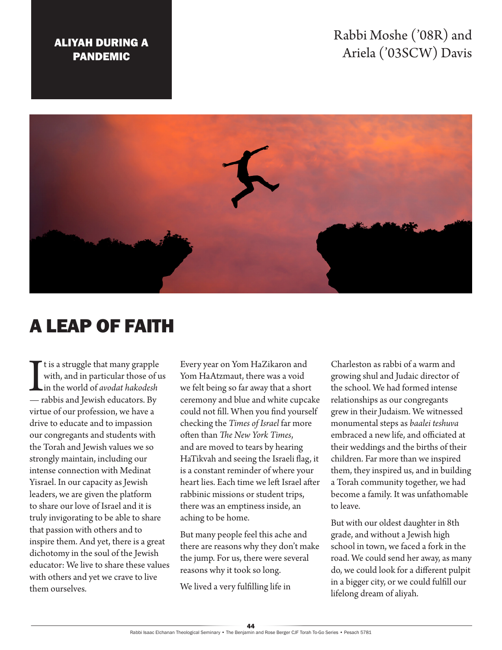## Rabbi Moshe ('08R) and Ariela ('03SCW) Davis

## ALIYAH DURING A PANDEMIC



## A LEAP OF FAITH

It is a struggle that many grapple<br>with, and in particular those of<br>in the world of *avodat hakodesh*<br>— rabbis and Jewish educators. By t is a struggle that many grapple with, and in particular those of us in the world of *avodat hakodesh* virtue of our profession, we have a drive to educate and to impassion our congregants and students with the Torah and Jewish values we so strongly maintain, including our intense connection with Medinat Yisrael. In our capacity as Jewish leaders, we are given the platform to share our love of Israel and it is truly invigorating to be able to share that passion with others and to inspire them. And yet, there is a great dichotomy in the soul of the Jewish educator: We live to share these values with others and yet we crave to live them ourselves.

Every year on Yom HaZikaron and Yom HaAtzmaut, there was a void we felt being so far away that a short ceremony and blue and white cupcake could not fill. When you find yourself checking the *Times of Israel* far more often than *The New York Times*, and are moved to tears by hearing HaTikvah and seeing the Israeli flag, it is a constant reminder of where your heart lies. Each time we left Israel after rabbinic missions or student trips, there was an emptiness inside, an aching to be home.

But many people feel this ache and there are reasons why they don't make the jump. For us, there were several reasons why it took so long.

We lived a very fulfilling life in

Charleston as rabbi of a warm and growing shul and Judaic director of the school. We had formed intense relationships as our congregants grew in their Judaism. We witnessed monumental steps as *baalei teshuva* embraced a new life, and officiated at their weddings and the births of their children. Far more than we inspired them, they inspired us, and in building a Torah community together, we had become a family. It was unfathomable to leave.

But with our oldest daughter in 8th grade, and without a Jewish high school in town, we faced a fork in the road. We could send her away, as many do, we could look for a different pulpit in a bigger city, or we could fulfill our lifelong dream of aliyah.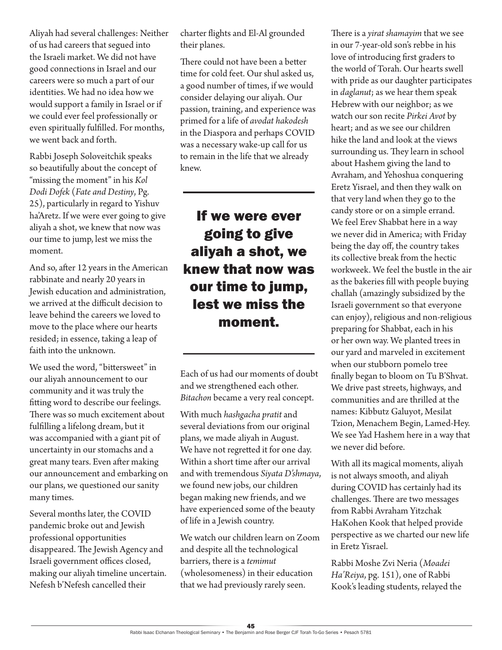Aliyah had several challenges: Neither of us had careers that segued into the Israeli market. We did not have good connections in Israel and our careers were so much a part of our identities. We had no idea how we would support a family in Israel or if we could ever feel professionally or even spiritually fulfilled. For months, we went back and forth.

Rabbi Joseph Soloveitchik speaks so beautifully about the concept of "missing the moment" in his *Kol Dodi Dofek* (*Fate and Destiny*, Pg. 25), particularly in regard to Yishuv ha'Aretz. If we were ever going to give aliyah a shot, we knew that now was our time to jump, lest we miss the moment.

And so, after 12 years in the American rabbinate and nearly 20 years in Jewish education and administration, we arrived at the difficult decision to leave behind the careers we loved to move to the place where our hearts resided; in essence, taking a leap of faith into the unknown.

We used the word, "bittersweet" in our aliyah announcement to our community and it was truly the fitting word to describe our feelings. There was so much excitement about fulfilling a lifelong dream, but it was accompanied with a giant pit of uncertainty in our stomachs and a great many tears. Even after making our announcement and embarking on our plans, we questioned our sanity many times.

Several months later, the COVID pandemic broke out and Jewish professional opportunities disappeared. The Jewish Agency and Israeli government offices closed, making our aliyah timeline uncertain. Nefesh b'Nefesh cancelled their

charter flights and El-Al grounded their planes.

There could not have been a better time for cold feet. Our shul asked us, a good number of times, if we would consider delaying our aliyah. Our passion, training, and experience was primed for a life of *avodat hakodesh* in the Diaspora and perhaps COVID was a necessary wake-up call for us to remain in the life that we already knew.

## If we were ever going to give aliyah a shot, we knew that now was our time to jump, lest we miss the moment.

Each of us had our moments of doubt and we strengthened each other. *Bitachon* became a very real concept.

With much *hashgacha pratit* and several deviations from our original plans, we made aliyah in August. We have not regretted it for one day. Within a short time after our arrival and with tremendous *Siyata D'shmaya*, we found new jobs, our children began making new friends, and we have experienced some of the beauty of life in a Jewish country.

We watch our children learn on Zoom and despite all the technological barriers, there is a *temimut* (wholesomeness) in their education that we had previously rarely seen.

There is a *yirat shamayim* that we see in our 7-year-old son's rebbe in his love of introducing first graders to the world of Torah. Our hearts swell with pride as our daughter participates in *daglanut*; as we hear them speak Hebrew with our neighbor; as we watch our son recite *Pirkei Avot* by heart; and as we see our children hike the land and look at the views surrounding us. They learn in school about Hashem giving the land to Avraham, and Yehoshua conquering Eretz Yisrael, and then they walk on that very land when they go to the candy store or on a simple errand. We feel Erev Shabbat here in a way we never did in America; with Friday being the day off, the country takes its collective break from the hectic workweek. We feel the bustle in the air as the bakeries fill with people buying challah (amazingly subsidized by the Israeli government so that everyone can enjoy), religious and non-religious preparing for Shabbat, each in his or her own way. We planted trees in our yard and marveled in excitement when our stubborn pomelo tree finally began to bloom on Tu B'Shvat. We drive past streets, highways, and communities and are thrilled at the names: Kibbutz Galuyot, Mesilat Tzion, Menachem Begin, Lamed-Hey. We see Yad Hashem here in a way that we never did before.

With all its magical moments, aliyah is not always smooth, and aliyah during COVID has certainly had its challenges. There are two messages from Rabbi Avraham Yitzchak HaKohen Kook that helped provide perspective as we charted our new life in Eretz Yisrael.

Rabbi Moshe Zvi Neria (*Moadei Ha'Reiya*, pg. 151), one of Rabbi Kook's leading students, relayed the